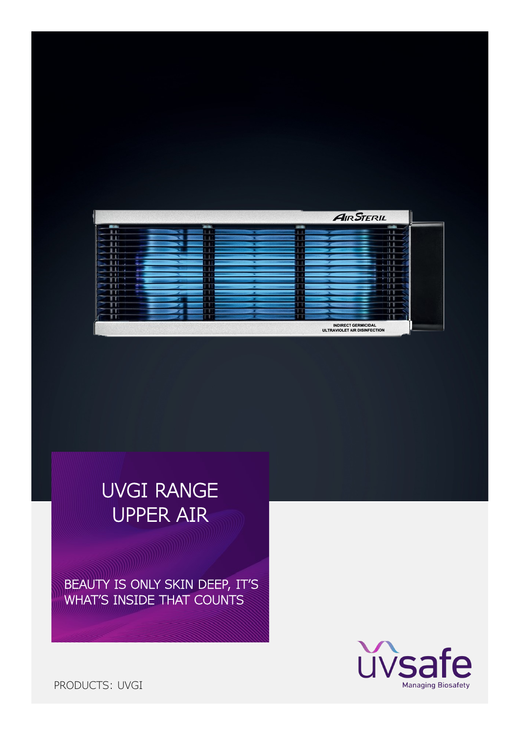|  |              |                                                            | <b>AIR STERIL</b> |
|--|--------------|------------------------------------------------------------|-------------------|
|  | <b>Table</b> | <b>SIDE</b>                                                |                   |
|  |              |                                                            |                   |
|  |              |                                                            |                   |
|  |              |                                                            |                   |
|  |              |                                                            |                   |
|  |              |                                                            |                   |
|  |              |                                                            |                   |
|  |              |                                                            |                   |
|  |              |                                                            |                   |
|  |              |                                                            |                   |
|  |              |                                                            |                   |
|  |              |                                                            |                   |
|  |              |                                                            |                   |
|  |              |                                                            |                   |
|  |              |                                                            |                   |
|  |              |                                                            |                   |
|  |              | <b>INDIRECT GERMICIDAL</b><br>ULTRAVIOLET AIR DISINFECTION |                   |

BEAUTY IS ONLY SKIN DEEP, IT'S WHAT'S INSIDE THAT COUNTS



PRODUCTS: UVGI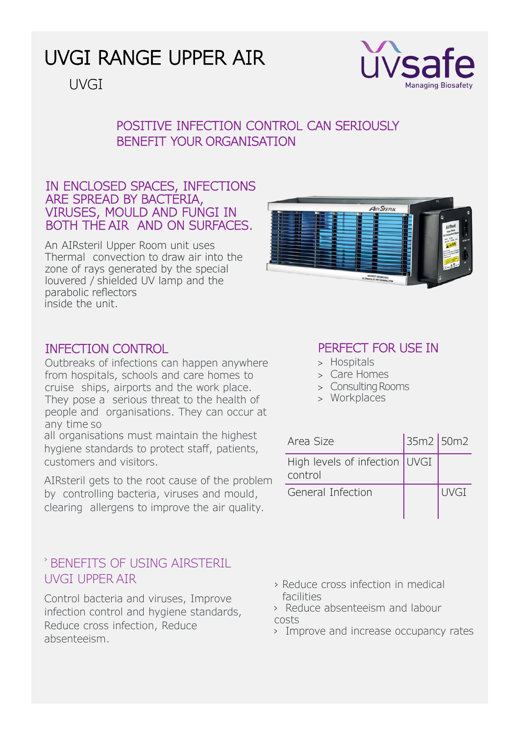

UVGI

## POSITIVE INFECTION CONTROL CAN SERIOUSLY BENEFIT YOUR ORGANISATION

#### IN ENCLOSED SPACES, INFECTIONS ARE SPREAD BY BACTERIA, VIRUSES, MOULD AND FUNGI IN BOTH THE AIR AND ON SURFACES.

An AIRsteril Upper Room unit uses Thermal convection to draw air into the zone of rays generated by the special louvered / shielded UV lamp and the parabolic reflectors inside the unit.



#### INFECTION CONTROL

Outbreaks of infections can happen anywhere from hospitals, schools and care homes to cruise ships, airports and the work place. They pose a serious threat to the health of people and organisations. They can occur at any time so

all organisations must maintain the highest hygiene standards to protect staff, patients, customers and visitors.

AIRsteril gets to the root cause of the problem by controlling bacteria, viruses and mould, clearing allergens to improve the air quality.

## › BENEFITS OF USING AIRSTERIL UVGI UPPER AIR

Control bacteria and viruses, Improve infection control and hygiene standards, Reduce cross infection, Reduce absenteeism.

## PERFECT FOR USE IN

- Hospitals
- Care Homes
- > Consulting Rooms
- Workplaces

| Area Size                                  | 35m2 50m2 |      |
|--------------------------------------------|-----------|------|
| High levels of infection   UVGI<br>control |           |      |
| General Infection                          |           | UVGI |

- › Reduce cross infection in medical facilities
- › Reduce absenteeism and labour costs
- › Improve and increase occupancy rates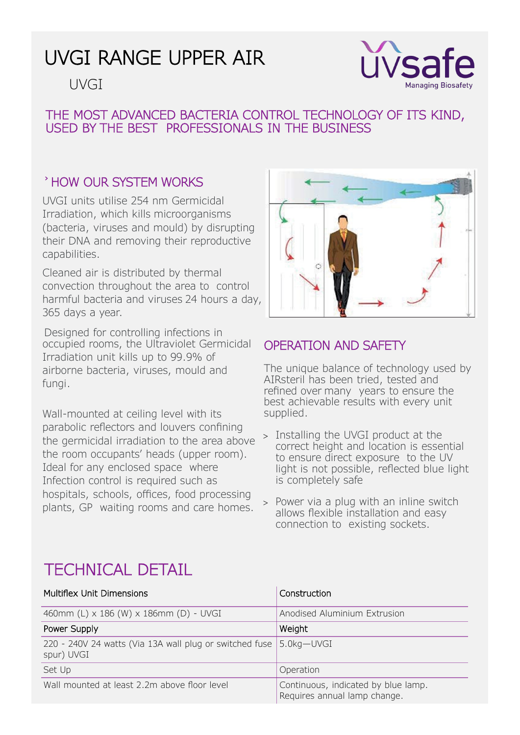# UVGI



#### THE MOST ADVANCED BACTERIA CONTROL TECHNOLOGY OF ITS KIND, USED BY THE BEST PROFESSIONALS IN THE BUSINESS

## › HOW OUR SYSTEM WORKS

UVGI units utilise 254 nm Germicidal Irradiation, which kills microorganisms (bacteria, viruses and mould) by disrupting their DNA and removing their reproductive capabilities.

Cleaned air is distributed by thermal convection throughout the area to control harmful bacteria and viruses 24 hours a day, 365 days a year.

Designed for controlling infections in occupied rooms, the Ultraviolet Germicidal Irradiation unit kills up to 99.9% of airborne bacteria, viruses, mould and fungi.

Wall-mounted at ceiling level with its parabolic reflectors and louvers confining the germicidal irradiation to the area above the room occupants' heads (upper room). Ideal for any enclosed space where Infection control is required such as hospitals, schools, offices, food processing plants, GP waiting rooms and care homes.



## OPERATION AND SAFETY

The unique balance of technology used by AIRsteril has been tried, tested and refined over many years to ensure the best achievable results with every unit supplied.

- > Installing the UVGI product at the correct height and location is essential to ensure direct exposure to the UV light is not possible, reflected blue light is completely safe
- Power via a plug with an inline switch allows flexible installation and easy connection to existing sockets.

# TECHNICAL DETAIL

| Multiflex Unit Dimensions                                                        | Construction                                                        |  |
|----------------------------------------------------------------------------------|---------------------------------------------------------------------|--|
| 460mm (L) x 186 (W) x 186mm (D) - UVGI                                           | Anodised Aluminium Extrusion                                        |  |
| Power Supply                                                                     | Weight                                                              |  |
| 220 - 240V 24 watts (Via 13A wall plug or switched fuse 5.0kg-UVGI<br>spur) UVGI |                                                                     |  |
| Set Up                                                                           | Operation                                                           |  |
| Wall mounted at least 2.2m above floor level                                     | Continuous, indicated by blue lamp.<br>Requires annual lamp change. |  |